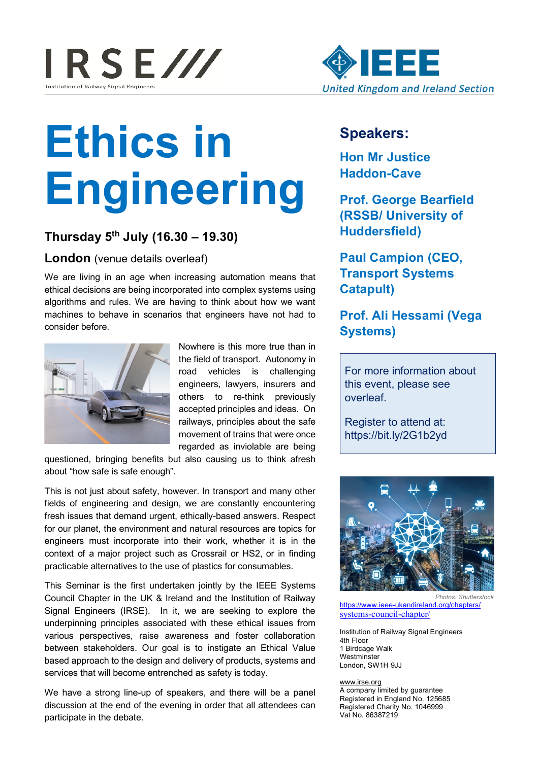



# **Ethics in Engineering**

## **Thursday 5th July (16.30 – 19.30)**

**London** (venue details overleaf)

We are living in an age when increasing automation means that ethical decisions are being incorporated into complex systems using algorithms and rules. We are having to think about how we want machines to behave in scenarios that engineers have not had to consider before.



Nowhere is this more true than in the field of transport. Autonomy in road vehicles is challenging engineers, lawyers, insurers and others to re-think previously accepted principles and ideas. On railways, principles about the safe movement of trains that were once regarded as inviolable are being

questioned, bringing benefits but also causing us to think afresh about "how safe is safe enough".

This is not just about safety, however. In transport and many other fields of engineering and design, we are constantly encountering fresh issues that demand urgent, ethically-based answers. Respect for our planet, the environment and natural resources are topics for engineers must incorporate into their work, whether it is in the context of a major project such as Crossrail or HS2, or in finding practicable alternatives to the use of plastics for consumables.

This Seminar is the first undertaken jointly by the IEEE Systems Council Chapter in the UK & Ireland and the Institution of Railway Signal Engineers (IRSE). In it, we are seeking to explore the underpinning principles associated with these ethical issues from various perspectives, raise awareness and foster collaboration between stakeholders. Our goal is to instigate an Ethical Value based approach to the design and delivery of products, systems and services that will become entrenched as safety is today.

We have a strong line-up of speakers, and there will be a panel discussion at the end of the evening in order that all attendees can participate in the debate.

## **Speakers:**

**Hon Mr Justice Haddon-Cave** 

**Prof. George Bearfield (RSSB/ University of Huddersfield)**

**Paul Campion (CEO, Transport Systems Catapult)**

## **Prof. Ali Hessami (Vega Systems)**

For more information about this event, please see overleaf.

Register to attend at: https://bit.ly/2G1b2yd



*Photos: Shutterstock* https://www.ieee-ukandireland.org/chapters/ systems-council-chapter/

Institution of Railway Signal Engineers 4th Floor 1 Birdcage Walk **Westminster** London, SW1H 9JJ

#### www.irse.org

A company limited by guarantee Registered in England No. 125685 Registered Charity No. 1046999 Vat No. 86387219